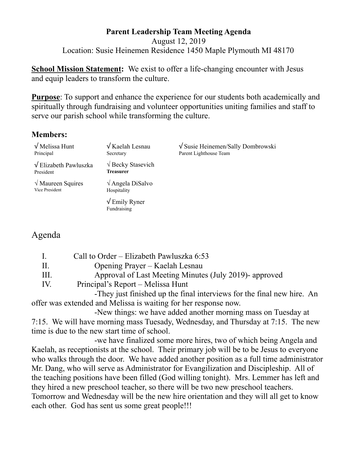## **Parent Leadership Team Meeting Agenda**  August 12, 2019 Location: Susie Heinemen Residence 1450 Maple Plymouth MI 48170

**School Mission Statement:** We exist to offer a life-changing encounter with Jesus and equip leaders to transform the culture.

**Purpose**: To support and enhance the experience for our students both academically and spiritually through fundraising and volunteer opportunities uniting families and staff to serve our parish school while transforming the culture.

## **Members:**

| $\sqrt{\text{Melissa Hunt}}$<br>Principal                | $\sqrt{K$ aelah Lesnau<br>Secretary                 | $\sqrt{\text{S}$ usie Heinemen/Sally Dombrowski<br>Parent Lighthouse Team |
|----------------------------------------------------------|-----------------------------------------------------|---------------------------------------------------------------------------|
| $\sqrt{\text{Elizabeth} \text{ Pawluszka}}$<br>President | $\sqrt{\text{Becky}}$ Stasevich<br><b>Treasurer</b> |                                                                           |
| $\sqrt{M}$ Maureen Squires<br>Vice President             | $\sqrt{\text{Angle}}$ DiSalvo<br>Hospitality        |                                                                           |
|                                                          | $\sqrt{\text{Emily Ryper}}$<br>Fundraising          |                                                                           |

## Agenda

| $\mathbf{L}$ | Call to Order – Elizabeth Pawluszka 6:53                               |
|--------------|------------------------------------------------------------------------|
| Н.           | Opening Prayer – Kaelah Lesnau                                         |
| III.         | Approval of Last Meeting Minutes (July 2019)- approved                 |
| IV.          | Principal's Report – Melissa Hunt                                      |
|              | -They just finished up the final interviews for the final new hire. An |

offer was extended and Melissa is waiting for her response now.

 -New things: we have added another morning mass on Tuesday at 7:15. We will have morning mass Tuesady, Wednesday, and Thursday at 7:15. The new time is due to the new start time of school.

 -we have finalized some more hires, two of which being Angela and Kaelah, as receptionists at the school. Their primary job will be to be Jesus to everyone who walks through the door. We have added another position as a full time administrator Mr. Dang, who will serve as Administrator for Evangilization and Discipleship. All of the teaching positions have been filled (God willing tonight). Mrs. Lemmer has left and they hired a new preschool teacher, so there will be two new preschool teachers. Tomorrow and Wednesday will be the new hire orientation and they will all get to know each other. God has sent us some great people!!!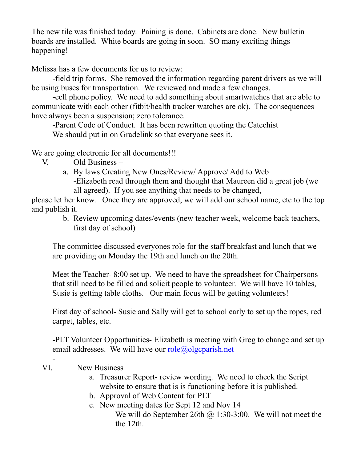The new tile was finished today. Paining is done. Cabinets are done. New bulletin boards are installed. White boards are going in soon. SO many exciting things happening!

Melissa has a few documents for us to review:

 -field trip forms. She removed the information regarding parent drivers as we will be using buses for transportation. We reviewed and made a few changes.

 -cell phone policy. We need to add something about smartwatches that are able to communicate with each other (fitbit/health tracker watches are ok). The consequences have always been a suspension; zero tolerance.

 -Parent Code of Conduct. It has been rewritten quoting the Catechist We should put in on Gradelink so that everyone sees it.

We are going electronic for all documents!!!

- V. Old Business
	- a. By laws Creating New Ones/Review/ Approve/ Add to Web -Elizabeth read through them and thought that Maureen did a great job (we all agreed). If you see anything that needs to be changed,

please let her know. Once they are approved, we will add our school name, etc to the top and publish it.

b. Review upcoming dates/events (new teacher week, welcome back teachers, first day of school)

 The committee discussed everyones role for the staff breakfast and lunch that we are providing on Monday the 19th and lunch on the 20th.

 Meet the Teacher- 8:00 set up. We need to have the spreadsheet for Chairpersons that still need to be filled and solicit people to volunteer. We will have 10 tables, Susie is getting table cloths. Our main focus will be getting volunteers!

 First day of school- Susie and Sally will get to school early to set up the ropes, red carpet, tables, etc.

 -PLT Volunteer Opportunities- Elizabeth is meeting with Greg to change and set up email addresses. We will have our  $role@ologcparish.net$ 

## $\sim$  -  $\sim$ VI. New Business

- a. Treasurer Report- review wording. We need to check the Script website to ensure that is is functioning before it is published.
- b. Approval of Web Content for PLT
- c. New meeting dates for Sept 12 and Nov 14
	- We will do September 26th  $\omega$  1:30-3:00. We will not meet the the 12th.